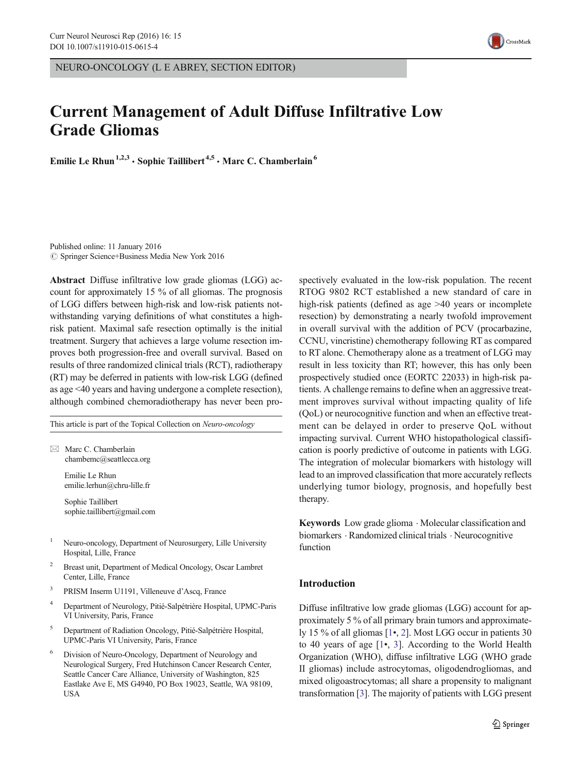NEURO-ONCOLOGY (L E ABREY, SECTION EDITOR)

# Current Management of Adult Diffuse Infiltrative Low Grade Gliomas

Emilie Le Rhun<sup>1,2,3</sup> · Sophie Taillibert<sup>4,5</sup> · Marc C. Chamberlain<sup>6</sup>

Published online: 11 January 2016  $\circ$  Springer Science+Business Media New York 2016

Abstract Diffuse infiltrative low grade gliomas (LGG) account for approximately 15 % of all gliomas. The prognosis of LGG differs between high-risk and low-risk patients notwithstanding varying definitions of what constitutes a highrisk patient. Maximal safe resection optimally is the initial treatment. Surgery that achieves a large volume resection improves both progression-free and overall survival. Based on results of three randomized clinical trials (RCT), radiotherapy (RT) may be deferred in patients with low-risk LGG (defined as age <40 years and having undergone a complete resection), although combined chemoradiotherapy has never been pro-

This article is part of the Topical Collection on Neuro-oncology

 $\boxtimes$  Marc C. Chamberlain chambemc@seattlecca.org

> Emilie Le Rhun emilie.lerhun@chru-lille.fr

Sophie Taillibert sophie.taillibert@gmail.com

- <sup>1</sup> Neuro-oncology, Department of Neurosurgery, Lille University Hospital, Lille, France
- <sup>2</sup> Breast unit, Department of Medical Oncology, Oscar Lambret Center, Lille, France
- <sup>3</sup> PRISM Inserm U1191, Villeneuve d'Ascq, France
- <sup>4</sup> Department of Neurology, Pitié-Salpétrière Hospital, UPMC-Paris VI University, Paris, France
- <sup>5</sup> Department of Radiation Oncology, Pitié-Salpétrière Hospital, UPMC-Paris VI University, Paris, France
- Division of Neuro-Oncology, Department of Neurology and Neurological Surgery, Fred Hutchinson Cancer Research Center, Seattle Cancer Care Alliance, University of Washington, 825 Eastlake Ave E, MS G4940, PO Box 19023, Seattle, WA 98109, USA

spectively evaluated in the low-risk population. The recent RTOG 9802 RCT established a new standard of care in high-risk patients (defined as age  $>40$  years or incomplete resection) by demonstrating a nearly twofold improvement in overall survival with the addition of PCV (procarbazine, CCNU, vincristine) chemotherapy following RT as compared to RT alone. Chemotherapy alone as a treatment of LGG may result in less toxicity than RT; however, this has only been prospectively studied once (EORTC 22033) in high-risk patients. A challenge remains to define when an aggressive treatment improves survival without impacting quality of life (QoL) or neurocognitive function and when an effective treatment can be delayed in order to preserve QoL without impacting survival. Current WHO histopathological classification is poorly predictive of outcome in patients with LGG. The integration of molecular biomarkers with histology will lead to an improved classification that more accurately reflects underlying tumor biology, prognosis, and hopefully best therapy.

Keywords Low grade glioma . Molecular classification and biomarkers . Randomized clinical trials . Neurocognitive function

## Introduction

Diffuse infiltrative low grade gliomas (LGG) account for approximately 5 % of all primary brain tumors and approximately 15 % of all gliomas [\[1](#page-7-0)•, [2](#page-7-0)]. Most LGG occur in patients 30 to 40 years of age [\[1](#page-7-0)•, [3\]](#page-7-0). According to the World Health Organization (WHO), diffuse infiltrative LGG (WHO grade II gliomas) include astrocytomas, oligodendrogliomas, and mixed oligoastrocytomas; all share a propensity to malignant transformation [\[3\]](#page-7-0). The majority of patients with LGG present

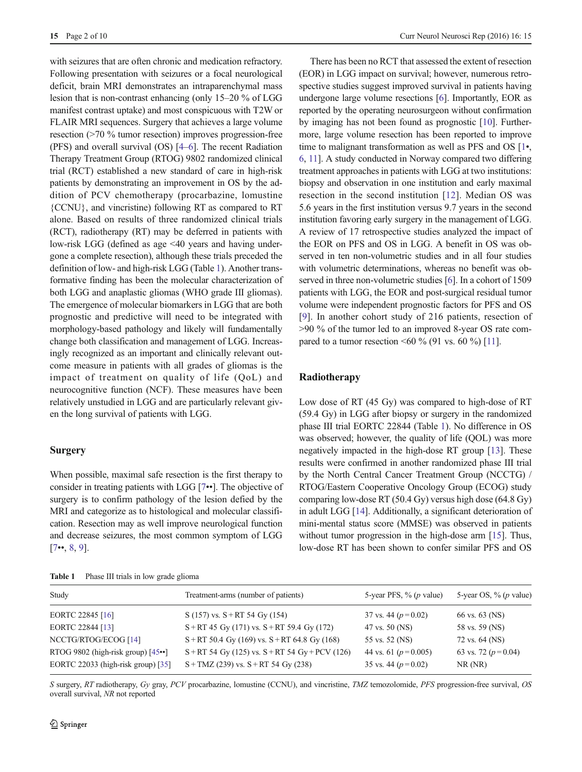<span id="page-1-0"></span>with seizures that are often chronic and medication refractory. Following presentation with seizures or a focal neurological deficit, brain MRI demonstrates an intraparenchymal mass lesion that is non-contrast enhancing (only 15–20 % of LGG manifest contrast uptake) and most conspicuous with T2W or FLAIR MRI sequences. Surgery that achieves a large volume resection (>70 % tumor resection) improves progression-free (PFS) and overall survival (OS) [\[4](#page-7-0)–[6\]](#page-7-0). The recent Radiation Therapy Treatment Group (RTOG) 9802 randomized clinical trial (RCT) established a new standard of care in high-risk patients by demonstrating an improvement in OS by the addition of PCV chemotherapy (procarbazine, lomustine {CCNU}, and vincristine) following RT as compared to RT alone. Based on results of three randomized clinical trials (RCT), radiotherapy (RT) may be deferred in patients with low-risk LGG (defined as age <40 years and having undergone a complete resection), although these trials preceded the definition of low- and high-risk LGG (Table 1). Another transformative finding has been the molecular characterization of both LGG and anaplastic gliomas (WHO grade III gliomas). The emergence of molecular biomarkers in LGG that are both prognostic and predictive will need to be integrated with morphology-based pathology and likely will fundamentally change both classification and management of LGG. Increasingly recognized as an important and clinically relevant outcome measure in patients with all grades of gliomas is the impact of treatment on quality of life (QoL) and neurocognitive function (NCF). These measures have been relatively unstudied in LGG and are particularly relevant given the long survival of patients with LGG.

## **Surgery**

When possible, maximal safe resection is the first therapy to consider in treating patients with LGG [\[7](#page-7-0)••]. The objective of surgery is to confirm pathology of the lesion defied by the MRI and categorize as to histological and molecular classification. Resection may as well improve neurological function and decrease seizures, the most common symptom of LGG  $[7\cdots, 8, 9].$  $[7\cdots, 8, 9].$  $[7\cdots, 8, 9].$  $[7\cdots, 8, 9].$  $[7\cdots, 8, 9].$  $[7\cdots, 8, 9].$ 

Table 1 Phase III trials in low grade glioma

There has been no RCT that assessed the extent of resection (EOR) in LGG impact on survival; however, numerous retrospective studies suggest improved survival in patients having undergone large volume resections [\[6](#page-7-0)]. Importantly, EOR as reported by the operating neurosurgeon without confirmation by imaging has not been found as prognostic [\[10\]](#page-7-0). Furthermore, large volume resection has been reported to improve time to malignant transformation as well as PFS and OS [[1](#page-7-0)•, [6,](#page-7-0) [11](#page-7-0)]. A study conducted in Norway compared two differing treatment approaches in patients with LGG at two institutions: biopsy and observation in one institution and early maximal resection in the second institution [\[12\]](#page-7-0). Median OS was 5.6 years in the first institution versus 9.7 years in the second institution favoring early surgery in the management of LGG. A review of 17 retrospective studies analyzed the impact of the EOR on PFS and OS in LGG. A benefit in OS was observed in ten non-volumetric studies and in all four studies with volumetric determinations, whereas no benefit was observed in three non-volumetric studies [\[6](#page-7-0)]. In a cohort of 1509 patients with LGG, the EOR and post-surgical residual tumor volume were independent prognostic factors for PFS and OS [\[9\]](#page-7-0). In another cohort study of 216 patients, resection of >90 % of the tumor led to an improved 8-year OS rate com-pared to a tumor resection <60 % (91 vs. 60 %) [\[11\]](#page-7-0).

## Radiotherapy

Low dose of RT (45 Gy) was compared to high-dose of RT (59.4 Gy) in LGG after biopsy or surgery in the randomized phase III trial EORTC 22844 (Table 1). No difference in OS was observed; however, the quality of life (QOL) was more negatively impacted in the high-dose RT group [\[13\]](#page-7-0). These results were confirmed in another randomized phase III trial by the North Central Cancer Treatment Group (NCCTG) / RTOG/Eastern Cooperative Oncology Group (ECOG) study comparing low-dose RT (50.4 Gy) versus high dose (64.8 Gy) in adult LGG [[14](#page-7-0)]. Additionally, a significant deterioration of mini-mental status score (MMSE) was observed in patients without tumor progression in the high-dose arm [[15](#page-7-0)]. Thus, low-dose RT has been shown to confer similar PFS and OS

| Study                              | Treatment-arms (number of patients)             | 5-year PFS, $\%$ (p value) | 5-year OS, $\%$ (p value) |
|------------------------------------|-------------------------------------------------|----------------------------|---------------------------|
| EORTC 22845 [16]                   | S (157) vs. $S + RT$ 54 Gy (154)                | 37 vs. 44 ( $p=0.02$ )     | 66 vs. 63 (NS)            |
| EORTC 22844 [13]                   | $S + RT 45$ Gy (171) vs. $S + RT 59.4$ Gy (172) | 47 vs. 50 (NS)             | 58 vs. 59 (NS)            |
| NCCTG/RTOG/ECOG [14]               | $S+RT$ 50.4 Gy (169) vs. $S+RT$ 64.8 Gy (168)   | 55 vs. 52 (NS)             | 72 vs. 64 (NS)            |
| RTOG 9802 (high-risk group) [45••] | $S+RT$ 54 Gy (125) vs. $S+RT$ 54 Gy + PCV (126) | 44 vs. 61 ( $p = 0.005$ )  | 63 vs. 72 ( $p = 0.04$ )  |
| EORTC 22033 (high-risk group) [35] | $S+TMZ$ (239) vs. $S+RT$ 54 Gy (238)            | 35 vs. 44 ( $p=0.02$ )     | NR(NR)                    |

S surgery, RT radiotherapy, Gy gray, PCV procarbazine, lomustine (CCNU), and vincristine, TMZ temozolomide, PFS progression-free survival, OS overall survival, NR not reported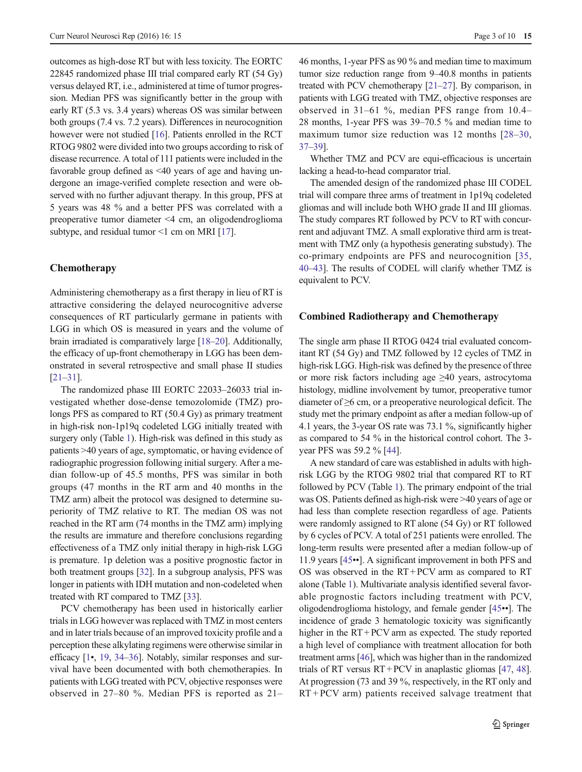outcomes as high-dose RT but with less toxicity. The EORTC 22845 randomized phase III trial compared early RT (54 Gy) versus delayed RT, i.e., administered at time of tumor progression. Median PFS was significantly better in the group with early RT (5.3 vs. 3.4 years) whereas OS was similar between both groups (7.4 vs. 7.2 years). Differences in neurocognition however were not studied [[16](#page-7-0)]. Patients enrolled in the RCT RTOG 9802 were divided into two groups according to risk of disease recurrence. A total of 111 patients were included in the favorable group defined as <40 years of age and having undergone an image-verified complete resection and were observed with no further adjuvant therapy. In this group, PFS at 5 years was 48 % and a better PFS was correlated with a preoperative tumor diameter <4 cm, an oligodendroglioma subtype, and residual tumor  $\leq 1$  cm on MRI [\[17](#page-7-0)].

# Chemotherapy

Administering chemotherapy as a first therapy in lieu of RT is attractive considering the delayed neurocognitive adverse consequences of RT particularly germane in patients with LGG in which OS is measured in years and the volume of brain irradiated is comparatively large [[18](#page-7-0)–[20](#page-7-0)]. Additionally, the efficacy of up-front chemotherapy in LGG has been demonstrated in several retrospective and small phase II studies [\[21](#page-7-0)–[31\]](#page-8-0).

The randomized phase III EORTC 22033–26033 trial investigated whether dose-dense temozolomide (TMZ) prolongs PFS as compared to RT (50.4 Gy) as primary treatment in high-risk non-1p19q codeleted LGG initially treated with surgery only (Table [1](#page-1-0)). High-risk was defined in this study as patients >40 years of age, symptomatic, or having evidence of radiographic progression following initial surgery. After a median follow-up of 45.5 months, PFS was similar in both groups (47 months in the RT arm and 40 months in the TMZ arm) albeit the protocol was designed to determine superiority of TMZ relative to RT. The median OS was not reached in the RT arm (74 months in the TMZ arm) implying the results are immature and therefore conclusions regarding effectiveness of a TMZ only initial therapy in high-risk LGG is premature. 1p deletion was a positive prognostic factor in both treatment groups [[32\]](#page-8-0). In a subgroup analysis, PFS was longer in patients with IDH mutation and non-codeleted when treated with RT compared to TMZ [\[33\]](#page-8-0).

PCV chemotherapy has been used in historically earlier trials in LGG however was replaced with TMZ in most centers and in later trials because of an improved toxicity profile and a perception these alkylating regimens were otherwise similar in efficacy [\[1](#page-7-0)•, [19,](#page-7-0) [34](#page-8-0)–[36\]](#page-8-0). Notably, similar responses and survival have been documented with both chemotherapies. In patients with LGG treated with PCV, objective responses were observed in 27–80 %. Median PFS is reported as 21– 46 months, 1-year PFS as 90 % and median time to maximum tumor size reduction range from 9–40.8 months in patients treated with PCV chemotherapy [[21](#page-7-0)–[27\]](#page-7-0). By comparison, in patients with LGG treated with TMZ, objective responses are observed in 31–61 %, median PFS range from 10.4– 28 months, 1-year PFS was 39–70.5 % and median time to maximum tumor size reduction was 12 months [[28](#page-7-0)–[30,](#page-8-0) [37](#page-8-0)–[39\]](#page-8-0).

Whether TMZ and PCV are equi-efficacious is uncertain lacking a head-to-head comparator trial.

The amended design of the randomized phase III CODEL trial will compare three arms of treatment in 1p19q codeleted gliomas and will include both WHO grade II and III gliomas. The study compares RT followed by PCV to RT with concurrent and adjuvant TMZ. A small explorative third arm is treatment with TMZ only (a hypothesis generating substudy). The co-primary endpoints are PFS and neurocognition [[35,](#page-8-0) [40](#page-8-0)–[43\]](#page-8-0). The results of CODEL will clarify whether TMZ is equivalent to PCV.

#### Combined Radiotherapy and Chemotherapy

The single arm phase II RTOG 0424 trial evaluated concomitant RT (54 Gy) and TMZ followed by 12 cycles of TMZ in high-risk LGG. High-risk was defined by the presence of three or more risk factors including age ≥40 years, astrocytoma histology, midline involvement by tumor, preoperative tumor diameter of ≥6 cm, or a preoperative neurological deficit. The study met the primary endpoint as after a median follow-up of 4.1 years, the 3-year OS rate was 73.1 %, significantly higher as compared to 54 % in the historical control cohort. The 3 year PFS was 59.2 % [[44\]](#page-8-0).

A new standard of care was established in adults with highrisk LGG by the RTOG 9802 trial that compared RT to RT followed by PCV (Table [1\)](#page-1-0). The primary endpoint of the trial was OS. Patients defined as high-risk were >40 years of age or had less than complete resection regardless of age. Patients were randomly assigned to RT alone (54 Gy) or RT followed by 6 cycles of PCV. A total of 251 patients were enrolled. The long-term results were presented after a median follow-up of 11.9 years [\[45](#page-8-0)••]. A significant improvement in both PFS and OS was observed in the RT + PCV arm as compared to RT alone (Table [1](#page-1-0)). Multivariate analysis identified several favorable prognostic factors including treatment with PCV, oligodendroglioma histology, and female gender [[45](#page-8-0)••]. The incidence of grade 3 hematologic toxicity was significantly higher in the RT + PCV arm as expected. The study reported a high level of compliance with treatment allocation for both treatment arms [[46](#page-8-0)], which was higher than in the randomized trials of RT versus RT + PCV in anaplastic gliomas [[47](#page-8-0), [48\]](#page-8-0). At progression (73 and 39 %, respectively, in the RT only and RT + PCV arm) patients received salvage treatment that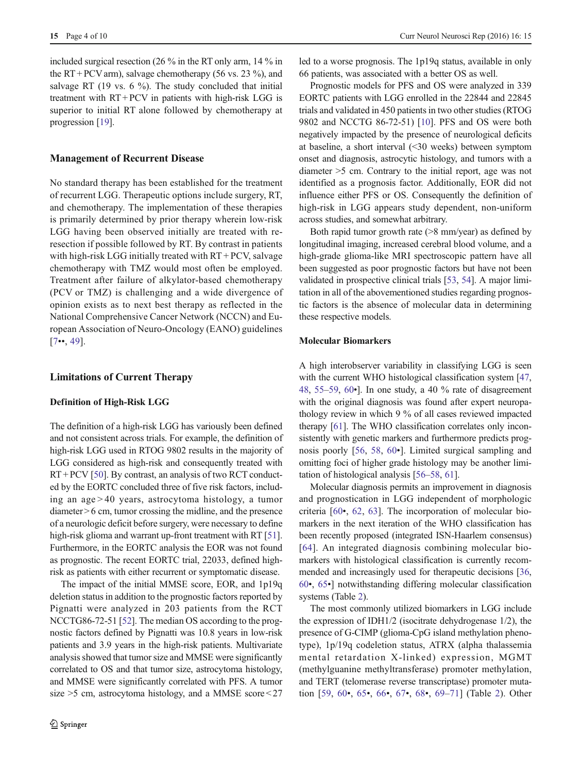included surgical resection (26 % in the RT only arm, 14 % in the RT + PCV arm), salvage chemotherapy (56 vs. 23 %), and salvage RT (19 vs. 6 %). The study concluded that initial treatment with RT + PCV in patients with high-risk LGG is superior to initial RT alone followed by chemotherapy at progression [[19\]](#page-7-0).

## Management of Recurrent Disease

No standard therapy has been established for the treatment of recurrent LGG. Therapeutic options include surgery, RT, and chemotherapy. The implementation of these therapies is primarily determined by prior therapy wherein low-risk LGG having been observed initially are treated with reresection if possible followed by RT. By contrast in patients with high-risk LGG initially treated with  $RT + PCV$ , salvage chemotherapy with TMZ would most often be employed. Treatment after failure of alkylator-based chemotherapy (PCV or TMZ) is challenging and a wide divergence of opinion exists as to next best therapy as reflected in the National Comprehensive Cancer Network (NCCN) and European Association of Neuro-Oncology (EANO) guidelines  $[7\cdots 49]$  $[7\cdots 49]$  $[7\cdots 49]$ .

## Limitations of Current Therapy

#### Definition of High-Risk LGG

The definition of a high-risk LGG has variously been defined and not consistent across trials. For example, the definition of high-risk LGG used in RTOG 9802 results in the majority of LGG considered as high-risk and consequently treated with  $RT + PCV$  [\[50\]](#page-8-0). By contrast, an analysis of two RCT conducted by the EORTC concluded three of five risk factors, including an age > 40 years, astrocytoma histology, a tumor diameter > 6 cm, tumor crossing the midline, and the presence of a neurologic deficit before surgery, were necessary to define high-risk glioma and warrant up-front treatment with RT [[51\]](#page-8-0). Furthermore, in the EORTC analysis the EOR was not found as prognostic. The recent EORTC trial, 22033, defined highrisk as patients with either recurrent or symptomatic disease.

The impact of the initial MMSE score, EOR, and 1p19q deletion status in addition to the prognostic factors reported by Pignatti were analyzed in 203 patients from the RCT NCCTG86-72-51 [\[52\]](#page-8-0). The median OS according to the prognostic factors defined by Pignatti was 10.8 years in low-risk patients and 3.9 years in the high-risk patients. Multivariate analysis showed that tumor size and MMSE were significantly correlated to OS and that tumor size, astrocytoma histology, and MMSE were significantly correlated with PFS. A tumor size >5 cm, astrocytoma histology, and a MMSE score < 27 led to a worse prognosis. The 1p19q status, available in only 66 patients, was associated with a better OS as well.

Prognostic models for PFS and OS were analyzed in 339 EORTC patients with LGG enrolled in the 22844 and 22845 trials and validated in 450 patients in two other studies (RTOG 9802 and NCCTG 86-72-51) [[10\]](#page-7-0). PFS and OS were both negatively impacted by the presence of neurological deficits at baseline, a short interval (<30 weeks) between symptom onset and diagnosis, astrocytic histology, and tumors with a diameter >5 cm. Contrary to the initial report, age was not identified as a prognosis factor. Additionally, EOR did not influence either PFS or OS. Consequently the definition of high-risk in LGG appears study dependent, non-uniform across studies, and somewhat arbitrary.

Both rapid tumor growth rate  $(>=8 \text{ mm/year})$  as defined by longitudinal imaging, increased cerebral blood volume, and a high-grade glioma-like MRI spectroscopic pattern have all been suggested as poor prognostic factors but have not been validated in prospective clinical trials [\[53](#page-8-0), [54](#page-8-0)]. A major limitation in all of the abovementioned studies regarding prognostic factors is the absence of molecular data in determining these respective models.

## Molecular Biomarkers

A high interobserver variability in classifying LGG is seen with the current WHO histological classification system [[47,](#page-8-0) [48,](#page-8-0) [55](#page-8-0)–[59](#page-8-0), [60](#page-8-0)•]. In one study, a 40 % rate of disagreement with the original diagnosis was found after expert neuropathology review in which 9 % of all cases reviewed impacted therapy [\[61](#page-9-0)]. The WHO classification correlates only inconsistently with genetic markers and furthermore predicts prognosis poorly [[56,](#page-8-0) [58,](#page-8-0) [60](#page-8-0)•]. Limited surgical sampling and omitting foci of higher grade histology may be another limitation of histological analysis [[56](#page-8-0)–[58](#page-8-0), [61](#page-9-0)].

Molecular diagnosis permits an improvement in diagnosis and prognostication in LGG independent of morphologic criteria [[60](#page-8-0)•, [62,](#page-9-0) [63\]](#page-9-0). The incorporation of molecular biomarkers in the next iteration of the WHO classification has been recently proposed (integrated ISN-Haarlem consensus) [[64\]](#page-9-0). An integrated diagnosis combining molecular biomarkers with histological classification is currently recommended and increasingly used for therapeutic decisions [[36,](#page-8-0) [60](#page-8-0)•, [65](#page-9-0)•] notwithstanding differing molecular classification systems (Table [2](#page-4-0)).

The most commonly utilized biomarkers in LGG include the expression of IDH1/2 (isocitrate dehydrogenase 1/2), the presence of G-CIMP (glioma-CpG island methylation phenotype), 1p/19q codeletion status, ATRX (alpha thalassemia mental retardation X-linked) expression, MGMT (methylguanine methyltransferase) promoter methylation, and TERT (telomerase reverse transcriptase) promoter mutation [[59,](#page-8-0) [60](#page-8-0)•, [65](#page-9-0)•, [66](#page-9-0)•, [67](#page-9-0)•, [68](#page-9-0)•, [69](#page-9-0)–[71](#page-9-0)] (Table [2\)](#page-4-0). Other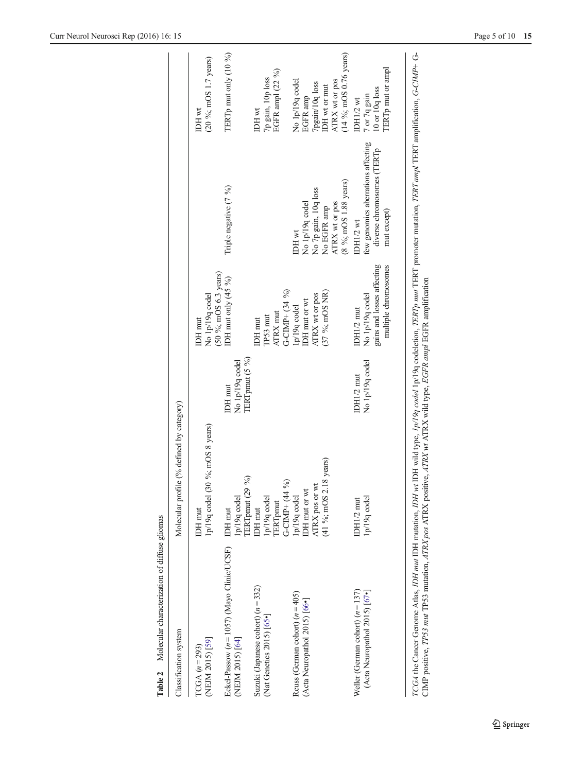<span id="page-4-0"></span>

| Table 2 Molecular characterization of diffuse gliomas                               |                                                                                        |                                                      |                                                                                     |                                                                                                             |                                                                                                                   |
|-------------------------------------------------------------------------------------|----------------------------------------------------------------------------------------|------------------------------------------------------|-------------------------------------------------------------------------------------|-------------------------------------------------------------------------------------------------------------|-------------------------------------------------------------------------------------------------------------------|
| Classification system                                                               | Molecular profile (% defined by category)                                              |                                                      |                                                                                     |                                                                                                             |                                                                                                                   |
| (NEJM 2015) [59]<br>$\Gamma$ CGA $(n=293)$                                          | 1p/19q codel (30 %; mOS 8 years)<br>IDH mut                                            |                                                      | $(50\%; mOS 6.3 \text{ years})$<br>No 1p/19q codel<br>IDH mut                       |                                                                                                             | (20 %; mOS 1.7 years)<br>IDH wt                                                                                   |
| Eckel-Passow $(n = 1057)$ (Mayo Clinic/UCSF)<br>(NEJM 2015) [64]                    | $\mathcal{S}_{\mathbf{0}}$<br>ERTpmut (29<br>p/19q codel<br><b>IDH</b> mut             | TERT pmut (5 %)<br>No 1p/19q codel<br><b>IDH</b> mut | IDH mut only $(45\%)$                                                               | Triple negative (7 %)                                                                                       | TERTp mut only (10 %)                                                                                             |
| Suzuki (Japanese cohort) $(n = 332)$<br>(Nat Genetics $2015$ ) $[65$ <sup>•</sup> ] | $\mathcal{S}_{\mathbf{0}}$<br>G-CIMP+ (44<br>lp/19q codel<br><b>ERT</b> pmut<br>DH mut |                                                      | G-CIMP+ $(34\%)$<br><b>ATRX</b> mut<br>TP53 mut<br><b>IDH</b> mut                   |                                                                                                             | $\bar{\mathrm{EGFR}}$ ampl $(22\, \, \% )$<br>7p gain, 10p loss<br>IDH wt                                         |
| Reuss (German cohort) $(n=405)$<br>(Acta Neuropathol 2015) [66•]                    | $(41\%; mOS 2.18 \text{ years})$<br>ATRX pos or wt<br>DH mut or wt<br>lp/19q codel     |                                                      | $(37\%; mOS NR)$<br>ATRX wt or pos<br>IDH mut or wt<br>$1p/19q$ codel               | (8 %; mOS 1.88 years)<br>No 7p gain, 10q loss<br>No 1p/19q codel<br>ATRX wt or pos<br>No EGFR amp<br>IDH wt | (14 %; mOS 0.76 years)<br>ATRX wt or pos<br>No 1p/19q codel<br>7pgain/10q loss<br>DH wt or mut<br><b>EGFR</b> amp |
| Weller (German cohort) $(n = 137)$<br>(Acta Neuropathol 2015) [67•]                 | 1p/19q codel<br>IDH1/2 mut                                                             | No 1p/19q codel<br>IDH1/2 mut                        | gains and losses affecting<br>multiple chromosomes<br>No 1p/19q codel<br>IDH1/2 mut | few genomics aberrations affecting<br>diverse chromosomes (TERTp<br>mut except)<br><b>IDH1/2 wt</b>         | <b>TERT</b> p mut or ampl<br>10 or 10q loss<br>7 or 7q gain<br>DH1/2 wt                                           |
|                                                                                     |                                                                                        |                                                      |                                                                                     |                                                                                                             |                                                                                                                   |

TCGA the Cancer Genome Atlas, IDH mut IDH mutation, IDH wild type, 1p/19q codel 1p/19q codeletion, TERTp mut TERT promoter mutation, TERT amplification, G-CIMP+ G-<br>CIMP positive, IP53 mut TP53 mutation, ATRX pos ATRX posit TCGA the Cancer Genome Atlas, IDH mut IDH mutation, IDH wt IDH wild type, 1p/19q codel 1p/19q codeletion, TERTp mut TERT promoter mutation, TERT ampl TERT amplification, G-CIMP+ G-CIMP positive, TP53 mut TP53 mutation, ATRX pos ATRX positive, ATRX wt ATRX wild type, EGFR ampl EGFR amplification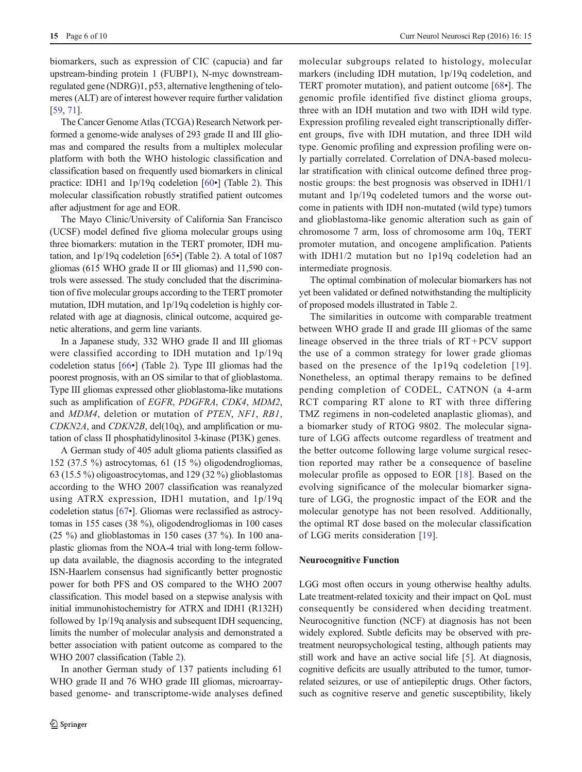biomarkers, such as expression of CIC (capucia) and far upstream-binding protein 1 (FUBP1), N-myc downstreamregulated gene (NDRG)1, p53, alternative lengthening of telomeres (ALT) are of interest however require further validation [\[59,](#page-8-0) [71\]](#page-9-0).

The Cancer Genome Atlas (TCGA) Research Network performed a genome-wide analyses of 293 grade II and III gliomas and compared the results from a multiplex molecular platform with both the WHO histologic classification and classification based on frequently used biomarkers in clinical practice: IDH1 and 1p/19q codeletion [\[60](#page-8-0)•] (Table [2\)](#page-4-0). This molecular classification robustly stratified patient outcomes after adjustment for age and EOR.

The Mayo Clinic/University of California San Francisco (UCSF) model defined five glioma molecular groups using three biomarkers: mutation in the TERT promoter, IDH mutation, and 1p/19q codeletion [\[65](#page-9-0)•] (Table [2](#page-4-0)). A total of 1087 gliomas (615 WHO grade II or III gliomas) and 11,590 controls were assessed. The study concluded that the discrimination of five molecular groups according to the TERT promoter mutation, IDH mutation, and 1p/19q codeletion is highly correlated with age at diagnosis, clinical outcome, acquired genetic alterations, and germ line variants.

In a Japanese study, 332 WHO grade II and III gliomas were classified according to IDH mutation and 1p/19q codeletion status [[66](#page-9-0)•] (Table [2](#page-4-0)). Type III gliomas had the poorest prognosis, with an OS similar to that of glioblastoma. Type III gliomas expressed other glioblastoma-like mutations such as amplification of EGFR, PDGFRA, CDK4, MDM2, and MDM4, deletion or mutation of PTEN, NF1, RB1, CDKN2A, and CDKN2B, del(10q), and amplification or mutation of class II phosphatidylinositol 3-kinase (PI3K) genes.

A German study of 405 adult glioma patients classified as 152 (37.5 %) astrocytomas, 61 (15 %) oligodendrogliomas, 63 (15.5 %) oligoastrocytomas, and 129 (32 %) glioblastomas according to the WHO 2007 classification was reanalyzed using ATRX expression, IDH1 mutation, and 1p/19q codeletion status [\[67](#page-9-0)•]. Gliomas were reclassified as astrocytomas in 155 cases (38 %), oligodendrogliomas in 100 cases (25 %) and glioblastomas in 150 cases (37 %). In 100 anaplastic gliomas from the NOA-4 trial with long-term followup data available, the diagnosis according to the integrated ISN-Haarlem consensus had significantly better prognostic power for both PFS and OS compared to the WHO 2007 classification. This model based on a stepwise analysis with initial immunohistochemistry for ATRX and IDH1 (R132H) followed by 1p/19q analysis and subsequent IDH sequencing, limits the number of molecular analysis and demonstrated a better association with patient outcome as compared to the WHO 2007 classification (Table [2\)](#page-4-0).

In another German study of 137 patients including 61 WHO grade II and 76 WHO grade III gliomas, microarraybased genome- and transcriptome-wide analyses defined molecular subgroups related to histology, molecular markers (including IDH mutation, 1p/19q codeletion, and TERT promoter mutation), and patient outcome [\[68](#page-9-0)•]. The genomic profile identified five distinct glioma groups, three with an IDH mutation and two with IDH wild type. Expression profiling revealed eight transcriptionally different groups, five with IDH mutation, and three IDH wild type. Genomic profiling and expression profiling were only partially correlated. Correlation of DNA-based molecular stratification with clinical outcome defined three prognostic groups: the best prognosis was observed in IDH1/1 mutant and 1p/19q codeleted tumors and the worse outcome in patients with IDH non-mutated (wild type) tumors and glioblastoma-like genomic alteration such as gain of chromosome 7 arm, loss of chromosome arm 10q, TERT promoter mutation, and oncogene amplification. Patients with IDH1/2 mutation but no 1p19q codeletion had an intermediate prognosis.

The optimal combination of molecular biomarkers has not yet been validated or defined notwithstanding the multiplicity of proposed models illustrated in Table [2.](#page-4-0)

The similarities in outcome with comparable treatment between WHO grade II and grade III gliomas of the same lineage observed in the three trials of RT + PCV support the use of a common strategy for lower grade gliomas based on the presence of the 1p19q codeletion [\[19](#page-7-0)]. Nonetheless, an optimal therapy remains to be defined pending completion of CODEL, CATNON (a 4-arm RCT comparing RT alone to RT with three differing TMZ regimens in non-codeleted anaplastic gliomas), and a biomarker study of RTOG 9802. The molecular signature of LGG affects outcome regardless of treatment and the better outcome following large volume surgical resection reported may rather be a consequence of baseline molecular profile as opposed to EOR [[18\]](#page-7-0). Based on the evolving significance of the molecular biomarker signature of LGG, the prognostic impact of the EOR and the molecular genotype has not been resolved. Additionally, the optimal RT dose based on the molecular classification of LGG merits consideration [\[19](#page-7-0)].

#### Neurocognitive Function

LGG most often occurs in young otherwise healthy adults. Late treatment-related toxicity and their impact on QoL must consequently be considered when deciding treatment. Neurocognitive function (NCF) at diagnosis has not been widely explored. Subtle deficits may be observed with pretreatment neuropsychological testing, although patients may still work and have an active social life [\[5](#page-7-0)]. At diagnosis, cognitive deficits are usually attributed to the tumor, tumorrelated seizures, or use of antiepileptic drugs. Other factors, such as cognitive reserve and genetic susceptibility, likely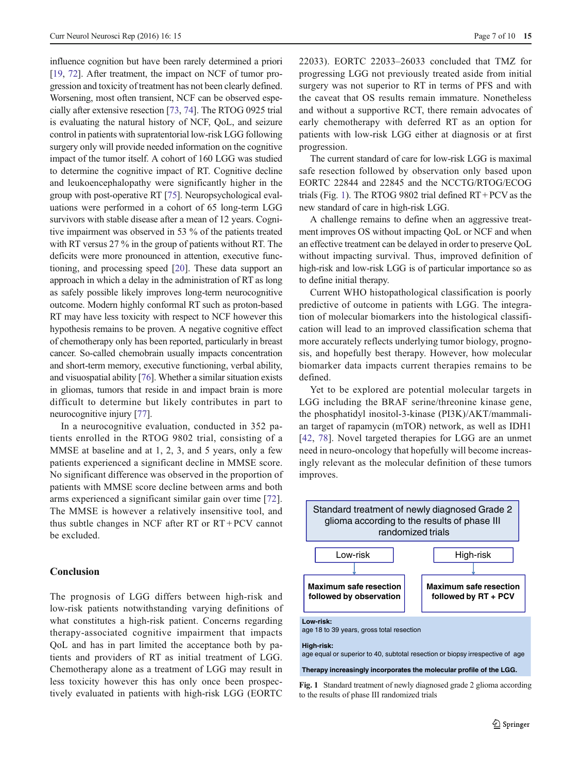influence cognition but have been rarely determined a priori [\[19,](#page-7-0) [72\]](#page-9-0). After treatment, the impact on NCF of tumor progression and toxicity of treatment has not been clearly defined. Worsening, most often transient, NCF can be observed especially after extensive resection [[73](#page-9-0), [74\]](#page-9-0). The RTOG 0925 trial is evaluating the natural history of NCF, QoL, and seizure control in patients with supratentorial low-risk LGG following surgery only will provide needed information on the cognitive impact of the tumor itself. A cohort of 160 LGG was studied to determine the cognitive impact of RT. Cognitive decline and leukoencephalopathy were significantly higher in the group with post-operative RT [\[75](#page-9-0)]. Neuropsychological evaluations were performed in a cohort of 65 long-term LGG survivors with stable disease after a mean of 12 years. Cognitive impairment was observed in 53 % of the patients treated with RT versus 27 % in the group of patients without RT. The deficits were more pronounced in attention, executive functioning, and processing speed [\[20](#page-7-0)]. These data support an approach in which a delay in the administration of RT as long as safely possible likely improves long-term neurocognitive outcome. Modern highly conformal RT such as proton-based RT may have less toxicity with respect to NCF however this hypothesis remains to be proven. A negative cognitive effect of chemotherapy only has been reported, particularly in breast cancer. So-called chemobrain usually impacts concentration and short-term memory, executive functioning, verbal ability, and visuospatial ability [[76](#page-9-0)]. Whether a similar situation exists in gliomas, tumors that reside in and impact brain is more difficult to determine but likely contributes in part to neurocognitive injury [\[77](#page-9-0)].

In a neurocognitive evaluation, conducted in 352 patients enrolled in the RTOG 9802 trial, consisting of a MMSE at baseline and at 1, 2, 3, and 5 years, only a few patients experienced a significant decline in MMSE score. No significant difference was observed in the proportion of patients with MMSE score decline between arms and both arms experienced a significant similar gain over time [\[72](#page-9-0)]. The MMSE is however a relatively insensitive tool, and thus subtle changes in NCF after RT or RT + PCV cannot be excluded.

## Conclusion

The prognosis of LGG differs between high-risk and low-risk patients notwithstanding varying definitions of what constitutes a high-risk patient. Concerns regarding therapy-associated cognitive impairment that impacts QoL and has in part limited the acceptance both by patients and providers of RT as initial treatment of LGG. Chemotherapy alone as a treatment of LGG may result in less toxicity however this has only once been prospectively evaluated in patients with high-risk LGG (EORTC

22033). EORTC 22033–26033 concluded that TMZ for progressing LGG not previously treated aside from initial surgery was not superior to RT in terms of PFS and with the caveat that OS results remain immature. Nonetheless and without a supportive RCT, there remain advocates of early chemotherapy with deferred RT as an option for patients with low-risk LGG either at diagnosis or at first progression.

The current standard of care for low-risk LGG is maximal safe resection followed by observation only based upon EORTC 22844 and 22845 and the NCCTG/RTOG/ECOG trials (Fig. 1). The RTOG 9802 trial defined RT + PCV as the new standard of care in high-risk LGG.

A challenge remains to define when an aggressive treatment improves OS without impacting QoL or NCF and when an effective treatment can be delayed in order to preserve QoL without impacting survival. Thus, improved definition of high-risk and low-risk LGG is of particular importance so as to define initial therapy.

Current WHO histopathological classification is poorly predictive of outcome in patients with LGG. The integration of molecular biomarkers into the histological classification will lead to an improved classification schema that more accurately reflects underlying tumor biology, prognosis, and hopefully best therapy. However, how molecular biomarker data impacts current therapies remains to be defined.

Yet to be explored are potential molecular targets in LGG including the BRAF serine/threonine kinase gene, the phosphatidyl inositol-3-kinase (PI3K)/AKT/mammalian target of rapamycin (mTOR) network, as well as IDH1 [\[42,](#page-8-0) [78](#page-9-0)]. Novel targeted therapies for LGG are an unmet need in neuro-oncology that hopefully will become increasingly relevant as the molecular definition of these tumors improves.



Fig. 1 Standard treatment of newly diagnosed grade 2 glioma according to the results of phase III randomized trials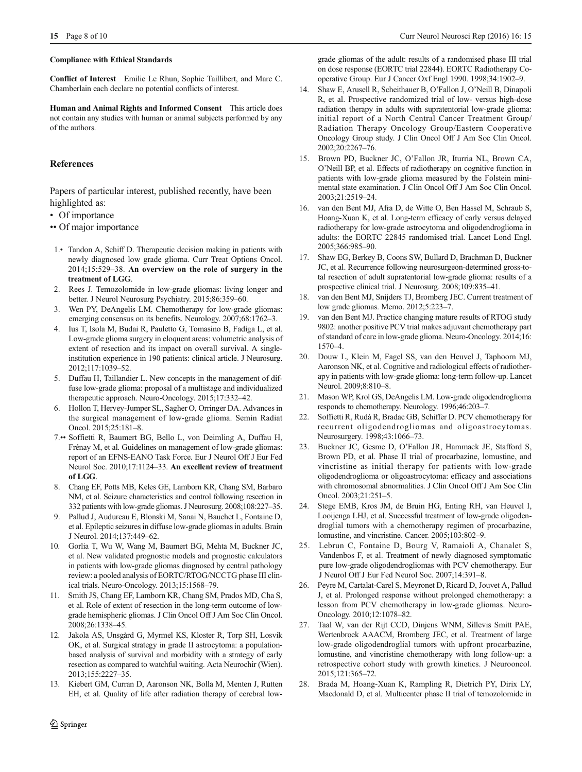#### <span id="page-7-0"></span>Compliance with Ethical Standards

Conflict of Interest Emilie Le Rhun, Sophie Taillibert, and Marc C. Chamberlain each declare no potential conflicts of interest.

Human and Animal Rights and Informed Consent This article does not contain any studies with human or animal subjects performed by any of the authors.

#### **References**

Papers of particular interest, published recently, have been highlighted as:

- Of importance
- •• Of major importance
- 1.• Tandon A, Schiff D. Therapeutic decision making in patients with newly diagnosed low grade glioma. Curr Treat Options Oncol. 2014;15:529–38. An overview on the role of surgery in the treatment of LGG.
- 2. Rees J. Temozolomide in low-grade gliomas: living longer and better. J Neurol Neurosurg Psychiatry. 2015;86:359–60.
- 3. Wen PY, DeAngelis LM. Chemotherapy for low-grade gliomas: emerging consensus on its benefits. Neurology. 2007;68:1762–3.
- 4. Ius T, Isola M, Budai R, Pauletto G, Tomasino B, Fadiga L, et al. Low-grade glioma surgery in eloquent areas: volumetric analysis of extent of resection and its impact on overall survival. A singleinstitution experience in 190 patients: clinical article. J Neurosurg. 2012;117:1039–52.
- 5. Duffau H, Taillandier L. New concepts in the management of diffuse low-grade glioma: proposal of a multistage and individualized therapeutic approach. Neuro-Oncology. 2015;17:332–42.
- 6. Hollon T, Hervey-Jumper SL, Sagher O, Orringer DA. Advances in the surgical management of low-grade glioma. Semin Radiat Oncol. 2015;25:181–8.
- 7.•• Soffietti R, Baumert BG, Bello L, von Deimling A, Duffau H, Frénay M, et al. Guidelines on management of low-grade gliomas: report of an EFNS-EANO Task Force. Eur J Neurol Off J Eur Fed Neurol Soc. 2010;17:1124–33. An excellent review of treatment of LGG.
- 8. Chang EF, Potts MB, Keles GE, Lamborn KR, Chang SM, Barbaro NM, et al. Seizure characteristics and control following resection in 332 patients with low-grade gliomas. J Neurosurg. 2008;108:227–35.
- 9. Pallud J, Audureau E, Blonski M, Sanai N, Bauchet L, Fontaine D, et al. Epileptic seizures in diffuse low-grade gliomas in adults. Brain J Neurol. 2014;137:449–62.
- 10. Gorlia T, Wu W, Wang M, Baumert BG, Mehta M, Buckner JC, et al. New validated prognostic models and prognostic calculators in patients with low-grade gliomas diagnosed by central pathology review: a pooled analysis of EORTC/RTOG/NCCTG phase III clinical trials. Neuro-Oncology. 2013;15:1568–79.
- 11. Smith JS, Chang EF, Lamborn KR, Chang SM, Prados MD, Cha S, et al. Role of extent of resection in the long-term outcome of lowgrade hemispheric gliomas. J Clin Oncol Off J Am Soc Clin Oncol. 2008;26:1338–45.
- 12. Jakola AS, Unsgård G, Myrmel KS, Kloster R, Torp SH, Losvik OK, et al. Surgical strategy in grade II astrocytoma: a populationbased analysis of survival and morbidity with a strategy of early resection as compared to watchful waiting. Acta Neurochir (Wien). 2013;155:2227–35.
- 13. Kiebert GM, Curran D, Aaronson NK, Bolla M, Menten J, Rutten EH, et al. Quality of life after radiation therapy of cerebral low-

grade gliomas of the adult: results of a randomised phase III trial on dose response (EORTC trial 22844). EORTC Radiotherapy Cooperative Group. Eur J Cancer Oxf Engl 1990. 1998;34:1902–9.

- 14. Shaw E, Arusell R, Scheithauer B, O'Fallon J, O'Neill B, Dinapoli R, et al. Prospective randomized trial of low- versus high-dose radiation therapy in adults with supratentorial low-grade glioma: initial report of a North Central Cancer Treatment Group/ Radiation Therapy Oncology Group/Eastern Cooperative Oncology Group study. J Clin Oncol Off J Am Soc Clin Oncol. 2002;20:2267–76.
- 15. Brown PD, Buckner JC, O'Fallon JR, Iturria NL, Brown CA, O'Neill BP, et al. Effects of radiotherapy on cognitive function in patients with low-grade glioma measured by the Folstein minimental state examination. J Clin Oncol Off J Am Soc Clin Oncol. 2003;21:2519–24.
- 16. van den Bent MJ, Afra D, de Witte O, Ben Hassel M, Schraub S, Hoang-Xuan K, et al. Long-term efficacy of early versus delayed radiotherapy for low-grade astrocytoma and oligodendroglioma in adults: the EORTC 22845 randomised trial. Lancet Lond Engl. 2005;366:985–90.
- 17. Shaw EG, Berkey B, Coons SW, Bullard D, Brachman D, Buckner JC, et al. Recurrence following neurosurgeon-determined gross-total resection of adult supratentorial low-grade glioma: results of a prospective clinical trial. J Neurosurg. 2008;109:835–41.
- 18. van den Bent MJ, Snijders TJ, Bromberg JEC. Current treatment of low grade gliomas. Memo. 2012;5:223–7.
- 19. van den Bent MJ. Practice changing mature results of RTOG study 9802: another positive PCV trial makes adjuvant chemotherapy part of standard of care in low-grade glioma. Neuro-Oncology. 2014;16: 1570–4.
- 20. Douw L, Klein M, Fagel SS, van den Heuvel J, Taphoorn MJ, Aaronson NK, et al. Cognitive and radiological effects of radiotherapy in patients with low-grade glioma: long-term follow-up. Lancet Neurol. 2009;8:810–8.
- 21. Mason WP, Krol GS, DeAngelis LM. Low-grade oligodendroglioma responds to chemotherapy. Neurology. 1996;46:203–7.
- 22. Soffietti R, Rudà R, Bradac GB, Schiffer D. PCV chemotherapy for recurrent oligodendrogliomas and oligoastrocytomas. Neurosurgery. 1998;43:1066–73.
- 23. Buckner JC, Gesme D, O'Fallon JR, Hammack JE, Stafford S, Brown PD, et al. Phase II trial of procarbazine, lomustine, and vincristine as initial therapy for patients with low-grade oligodendroglioma or oligoastrocytoma: efficacy and associations with chromosomal abnormalities. J Clin Oncol Off J Am Soc Clin Oncol. 2003;21:251–5.
- 24. Stege EMB, Kros JM, de Bruin HG, Enting RH, van Heuvel I, Looijenga LHJ, et al. Successful treatment of low-grade oligodendroglial tumors with a chemotherapy regimen of procarbazine, lomustine, and vincristine. Cancer. 2005;103:802–9.
- 25. Lebrun C, Fontaine D, Bourg V, Ramaioli A, Chanalet S, Vandenbos F, et al. Treatment of newly diagnosed symptomatic pure low-grade oligodendrogliomas with PCV chemotherapy. Eur J Neurol Off J Eur Fed Neurol Soc. 2007;14:391–8.
- 26. Peyre M, Cartalat-Carel S, Meyronet D, Ricard D, Jouvet A, Pallud J, et al. Prolonged response without prolonged chemotherapy: a lesson from PCV chemotherapy in low-grade gliomas. Neuro-Oncology. 2010;12:1078–82.
- 27. Taal W, van der Rijt CCD, Dinjens WNM, Sillevis Smitt PAE, Wertenbroek AAACM, Bromberg JEC, et al. Treatment of large low-grade oligodendroglial tumors with upfront procarbazine, lomustine, and vincristine chemotherapy with long follow-up: a retrospective cohort study with growth kinetics. J Neurooncol. 2015;121:365–72.
- 28. Brada M, Hoang-Xuan K, Rampling R, Dietrich PY, Dirix LY, Macdonald D, et al. Multicenter phase II trial of temozolomide in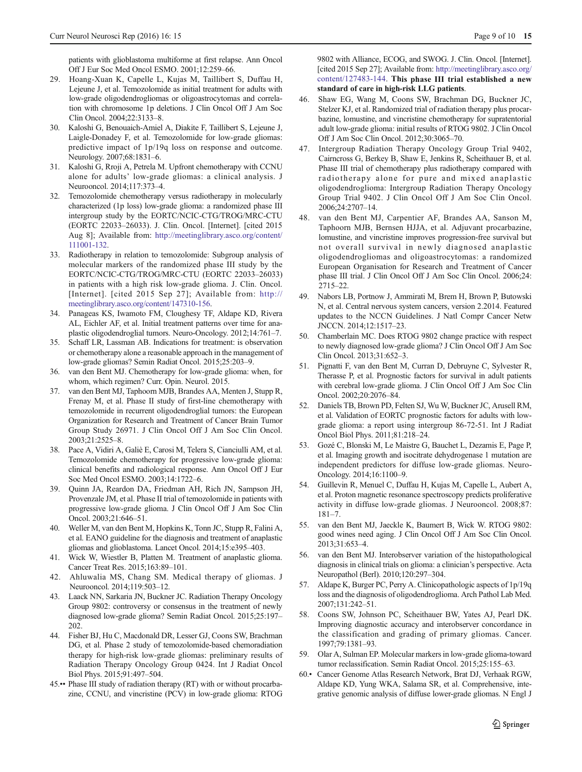<span id="page-8-0"></span>patients with glioblastoma multiforme at first relapse. Ann Oncol Off J Eur Soc Med Oncol ESMO. 2001;12:259–66.

- 29. Hoang-Xuan K, Capelle L, Kujas M, Taillibert S, Duffau H, Lejeune J, et al. Temozolomide as initial treatment for adults with low-grade oligodendrogliomas or oligoastrocytomas and correlation with chromosome 1p deletions. J Clin Oncol Off J Am Soc Clin Oncol. 2004;22:3133–8.
- 30. Kaloshi G, Benouaich-Amiel A, Diakite F, Taillibert S, Lejeune J, Laigle-Donadey F, et al. Temozolomide for low-grade gliomas: predictive impact of 1p/19q loss on response and outcome. Neurology. 2007;68:1831–6.
- 31. Kaloshi G, Rroji A, Petrela M. Upfront chemotherapy with CCNU alone for adults' low-grade gliomas: a clinical analysis. J Neurooncol. 2014;117:373–4.
- 32. Temozolomide chemotherapy versus radiotherapy in molecularly characterized (1p loss) low-grade glioma: a randomized phase III intergroup study by the EORTC/NCIC-CTG/TROG/MRC-CTU (EORTC 22033–26033). J. Clin. Oncol. [Internet]. [cited 2015 Aug 8]; Available from: [http://meetinglibrary.asco.org/content/](http://meetinglibrary.asco.org/content/111001-132) [111001-132](http://meetinglibrary.asco.org/content/111001-132).
- 33. Radiotherapy in relation to temozolomide: Subgroup analysis of molecular markers of the randomized phase III study by the EORTC/NCIC-CTG/TROG/MRC-CTU (EORTC 22033–26033) in patients with a high risk low-grade glioma. J. Clin. Oncol. [Internet]. [cited 2015 Sep 27]; Available from: [http://](http://meetinglibrary.asco.org/content/147310-156) [meetinglibrary.asco.org/content/147310-156](http://meetinglibrary.asco.org/content/147310-156).
- 34. Panageas KS, Iwamoto FM, Cloughesy TF, Aldape KD, Rivera AL, Eichler AF, et al. Initial treatment patterns over time for anaplastic oligodendroglial tumors. Neuro-Oncology. 2012;14:761–7.
- 35. Schaff LR, Lassman AB. Indications for treatment: is observation or chemotherapy alone a reasonable approach in the management of low-grade gliomas? Semin Radiat Oncol. 2015;25:203–9.
- 36. van den Bent MJ. Chemotherapy for low-grade glioma: when, for whom, which regimen? Curr. Opin. Neurol. 2015.
- 37. van den Bent MJ, Taphoorn MJB, Brandes AA, Menten J, Stupp R, Frenay M, et al. Phase II study of first-line chemotherapy with temozolomide in recurrent oligodendroglial tumors: the European Organization for Research and Treatment of Cancer Brain Tumor Group Study 26971. J Clin Oncol Off J Am Soc Clin Oncol. 2003;21:2525–8.
- 38. Pace A, Vidiri A, Galiè E, Carosi M, Telera S, Cianciulli AM, et al. Temozolomide chemotherapy for progressive low-grade glioma: clinical benefits and radiological response. Ann Oncol Off J Eur Soc Med Oncol ESMO. 2003;14:1722–6.
- 39. Quinn JA, Reardon DA, Friedman AH, Rich JN, Sampson JH, Provenzale JM, et al. Phase II trial of temozolomide in patients with progressive low-grade glioma. J Clin Oncol Off J Am Soc Clin Oncol. 2003;21:646–51.
- 40. Weller M, van den Bent M, Hopkins K, Tonn JC, Stupp R, Falini A, et al. EANO guideline for the diagnosis and treatment of anaplastic gliomas and glioblastoma. Lancet Oncol. 2014;15:e395–403.
- 41. Wick W, Wiestler B, Platten M. Treatment of anaplastic glioma. Cancer Treat Res. 2015;163:89–101.
- 42. Ahluwalia MS, Chang SM. Medical therapy of gliomas. J Neurooncol. 2014;119:503–12.
- 43. Laack NN, Sarkaria JN, Buckner JC. Radiation Therapy Oncology Group 9802: controversy or consensus in the treatment of newly diagnosed low-grade glioma? Semin Radiat Oncol. 2015;25:197– 202.
- 44. Fisher BJ, Hu C, Macdonald DR, Lesser GJ, Coons SW, Brachman DG, et al. Phase 2 study of temozolomide-based chemoradiation therapy for high-risk low-grade gliomas: preliminary results of Radiation Therapy Oncology Group 0424. Int J Radiat Oncol Biol Phys. 2015;91:497–504.
- 45.•• Phase III study of radiation therapy (RT) with or without procarbazine, CCNU, and vincristine (PCV) in low-grade glioma: RTOG

9802 with Alliance, ECOG, and SWOG. J. Clin. Oncol. [Internet]. [cited 2015 Sep 27]; Available from: [http://meetinglibrary.asco.org/](http://meetinglibrary.asco.org/content/127483-144) [content/127483-144.](http://meetinglibrary.asco.org/content/127483-144) This phase III trial established a new standard of care in high-risk LLG patients.

- 46. Shaw EG, Wang M, Coons SW, Brachman DG, Buckner JC, Stelzer KJ, et al. Randomized trial of radiation therapy plus procarbazine, lomustine, and vincristine chemotherapy for supratentorial adult low-grade glioma: initial results of RTOG 9802. J Clin Oncol Off J Am Soc Clin Oncol. 2012;30:3065–70.
- 47. Intergroup Radiation Therapy Oncology Group Trial 9402, Cairncross G, Berkey B, Shaw E, Jenkins R, Scheithauer B, et al. Phase III trial of chemotherapy plus radiotherapy compared with radiotherapy alone for pure and mixed anaplastic oligodendroglioma: Intergroup Radiation Therapy Oncology Group Trial 9402. J Clin Oncol Off J Am Soc Clin Oncol. 2006;24:2707–14.
- 48. van den Bent MJ, Carpentier AF, Brandes AA, Sanson M, Taphoorn MJB, Bernsen HJJA, et al. Adjuvant procarbazine, lomustine, and vincristine improves progression-free survival but not overall survival in newly diagnosed anaplastic oligodendrogliomas and oligoastrocytomas: a randomized European Organisation for Research and Treatment of Cancer phase III trial. J Clin Oncol Off J Am Soc Clin Oncol. 2006;24: 2715–22.
- 49. Nabors LB, Portnow J, Ammirati M, Brem H, Brown P, Butowski N, et al. Central nervous system cancers, version 2.2014. Featured updates to the NCCN Guidelines. J Natl Compr Cancer Netw JNCCN. 2014;12:1517–23.
- 50. Chamberlain MC. Does RTOG 9802 change practice with respect to newly diagnosed low-grade glioma? J Clin Oncol Off J Am Soc Clin Oncol. 2013;31:652–3.
- 51. Pignatti F, van den Bent M, Curran D, Debruyne C, Sylvester R, Therasse P, et al. Prognostic factors for survival in adult patients with cerebral low-grade glioma. J Clin Oncol Off J Am Soc Clin Oncol. 2002;20:2076–84.
- 52. Daniels TB, Brown PD, Felten SJ, Wu W, Buckner JC, Arusell RM, et al. Validation of EORTC prognostic factors for adults with lowgrade glioma: a report using intergroup 86-72-51. Int J Radiat Oncol Biol Phys. 2011;81:218–24.
- 53. Gozé C, Blonski M, Le Maistre G, Bauchet L, Dezamis E, Page P, et al. Imaging growth and isocitrate dehydrogenase 1 mutation are independent predictors for diffuse low-grade gliomas. Neuro-Oncology. 2014;16:1100–9.
- 54. Guillevin R, Menuel C, Duffau H, Kujas M, Capelle L, Aubert A, et al. Proton magnetic resonance spectroscopy predicts proliferative activity in diffuse low-grade gliomas. J Neurooncol. 2008;87: 181–7.
- 55. van den Bent MJ, Jaeckle K, Baumert B, Wick W. RTOG 9802: good wines need aging. J Clin Oncol Off J Am Soc Clin Oncol. 2013;31:653–4.
- 56. van den Bent MJ. Interobserver variation of the histopathological diagnosis in clinical trials on glioma: a clinician's perspective. Acta Neuropathol (Berl). 2010;120:297–304.
- 57. Aldape K, Burger PC, Perry A. Clinicopathologic aspects of 1p/19q loss and the diagnosis of oligodendroglioma. Arch Pathol Lab Med. 2007;131:242–51.
- 58. Coons SW, Johnson PC, Scheithauer BW, Yates AJ, Pearl DK. Improving diagnostic accuracy and interobserver concordance in the classification and grading of primary gliomas. Cancer. 1997;79:1381–93.
- 59. Olar A, Sulman EP. Molecular markers in low-grade glioma-toward tumor reclassification. Semin Radiat Oncol. 2015;25:155–63.
- 60.• Cancer Genome Atlas Research Network, Brat DJ, Verhaak RGW, Aldape KD, Yung WKA, Salama SR, et al. Comprehensive, integrative genomic analysis of diffuse lower-grade gliomas. N Engl J